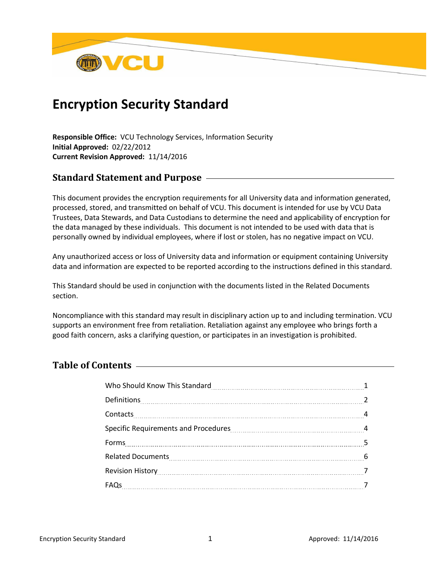

# **Encryption Security Standard**

**Responsible Office:** VCU Technology Services, Information Security **Initial Approved:** 02/22/2012 **Current Revision Approved:** 11/14/2016

## **Standard Statement and Purpose**

This document provides the encryption requirements for all University data and information generated, processed, stored, and transmitted on behalf of VCU. This document is intended for use by VCU Data Trustees, Data Stewards, and Data Custodians to determine the need and applicability of encryption for the data managed by these individuals. This document is not intended to be used with data that is personally owned by individual employees, where if lost or stolen, has no negative impact on VCU.

Any unauthorized access or loss of University data and information or equipment containing University data and information are expected to be reported according to the instructions defined in this standard.

This Standard should be used in conjunction with the documents listed in the Related Documents section.

Noncompliance with this standard may result in disciplinary action up to and including termination. VCU supports an environment free from retaliation. Retaliation against any employee who brings forth a good faith concern, asks a clarifying question, or participates in an investigation is prohibited.

## **Table of Contents**

| Contacts 4.000 Magazine 2010 Magazine 2010 Magazine 2010 Magazine 2010 Magazine 2010 Magazine 2010 Magazine 20 |  |
|----------------------------------------------------------------------------------------------------------------|--|
|                                                                                                                |  |
|                                                                                                                |  |
| Related Documents [1984] Related Documents [1984] Contract Process [1984] Contract Process [1984] Contract Pro |  |
|                                                                                                                |  |
|                                                                                                                |  |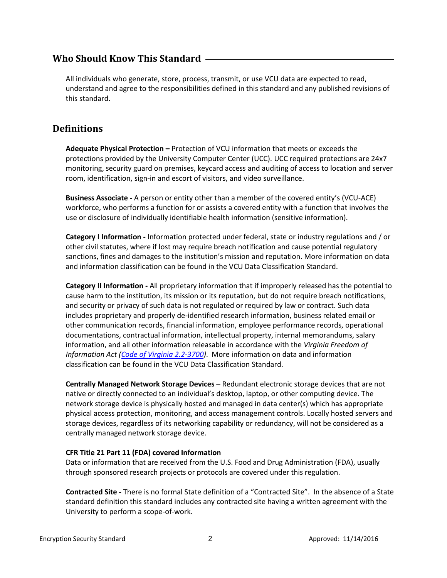## **Who Should Know This Standard**

All individuals who generate, store, process, transmit, or use VCU data are expected to read, understand and agree to the responsibilities defined in this standard and any published revisions of this standard.

## **Definitions**

**Adequate Physical Protection –** Protection of VCU information that meets or exceeds the protections provided by the University Computer Center (UCC). UCC required protections are 24x7 monitoring, security guard on premises, keycard access and auditing of access to location and server room, identification, sign-in and escort of visitors, and video surveillance.

**Business Associate -** A person or entity other than a member of the covered entity's (VCU-ACE) workforce, who performs a function for or assists a covered entity with a function that involves the use or disclosure of individually identifiable health information (sensitive information).

**Category I Information -** Information protected under federal, state or industry regulations and / or other civil statutes, where if lost may require breach notification and cause potential regulatory sanctions, fines and damages to the institution's mission and reputation. More information on data and information classification can be found in the VCU Data Classification Standard.

**Category II Information -** All proprietary information that if improperly released has the potential to cause harm to the institution, its mission or its reputation, but do not require breach notifications, and security or privacy of such data is not regulated or required by law or contract. Such data includes proprietary and properly de-identified research information, business related email or other communication records, financial information, employee performance records, operational documentations, contractual information, intellectual property, internal memorandums, salary information, and all other information releasable in accordance with the *Virginia Freedom of Information Act [\(Code of Virginia 2.2-3700\)](http://leg1.state.va.us/cgi-bin/legp504.exe?000+cod+2.2-3700)*. More information on data and information classification can be found in the VCU Data Classification Standard.

**Centrally Managed Network Storage Devices** – Redundant electronic storage devices that are not native or directly connected to an individual's desktop, laptop, or other computing device. The network storage device is physically hosted and managed in data center(s) which has appropriate physical access protection, monitoring, and access management controls. Locally hosted servers and storage devices, regardless of its networking capability or redundancy, will not be considered as a centrally managed network storage device.

#### **CFR Title 21 Part 11 (FDA) covered Information**

Data or information that are received from the U.S. Food and Drug Administration (FDA), usually through sponsored research projects or protocols are covered under this regulation.

**Contracted Site -** There is no formal State definition of a "Contracted Site". In the absence of a State standard definition this standard includes any contracted site having a written agreement with the University to perform a scope-of-work.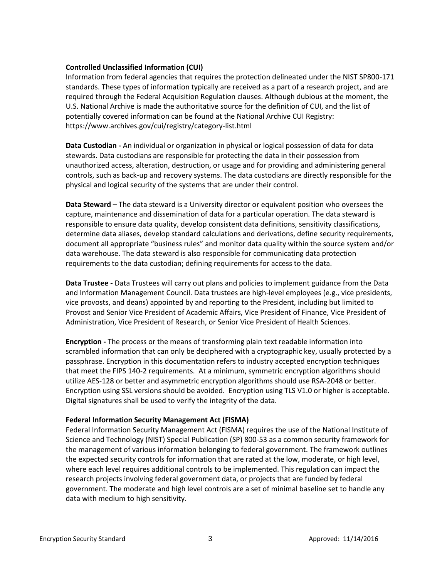#### **Controlled Unclassified Information (CUI)**

Information from federal agencies that requires the protection delineated under the NIST SP800-171 standards. These types of information typically are received as a part of a research project, and are required through the Federal Acquisition Regulation clauses. Although dubious at the moment, the U.S. National Archive is made the authoritative source for the definition of CUI, and the list of potentially covered information can be found at the National Archive CUI Registry: https://www.archives.gov/cui/registry/category-list.html

**Data Custodian -** An individual or organization in physical or logical possession of data for data stewards. Data custodians are responsible for protecting the data in their possession from unauthorized access, alteration, destruction, or usage and for providing and administering general controls, such as back-up and recovery systems. The data custodians are directly responsible for the physical and logical security of the systems that are under their control.

**Data Steward** – The data steward is a University director or equivalent position who oversees the capture, maintenance and dissemination of data for a particular operation. The data steward is responsible to ensure data quality, develop consistent data definitions, sensitivity classifications, determine data aliases, develop standard calculations and derivations, define security requirements, document all appropriate "business rules" and monitor data quality within the source system and/or data warehouse. The data steward is also responsible for communicating data protection requirements to the data custodian; defining requirements for access to the data.

**Data Trustee -** Data Trustees will carry out plans and policies to implement guidance from the Data and Information Management Council. Data trustees are high-level employees (e.g., vice presidents, vice provosts, and deans) appointed by and reporting to the President, including but limited to Provost and Senior Vice President of Academic Affairs, Vice President of Finance, Vice President of Administration, Vice President of Research, or Senior Vice President of Health Sciences.

**Encryption -** The process or the means of transforming plain text readable information into scrambled information that can only be deciphered with a cryptographic key, usually protected by a passphrase. Encryption in this documentation refers to industry accepted encryption techniques that meet the FIPS 140-2 requirements. At a minimum, symmetric encryption algorithms should utilize AES-128 or better and asymmetric encryption algorithms should use RSA-2048 or better. Encryption using SSL versions should be avoided. Encryption using TLS V1.0 or higher is acceptable. Digital signatures shall be used to verify the integrity of the data.

#### **Federal Information Security Management Act (FISMA)**

Federal Information Security Management Act (FISMA) requires the use of the National Institute of Science and Technology (NIST) Special Publication (SP) 800-53 as a common security framework for the management of various information belonging to federal government. The framework outlines the expected security controls for information that are rated at the low, moderate, or high level, where each level requires additional controls to be implemented. This regulation can impact the research projects involving federal government data, or projects that are funded by federal government. The moderate and high level controls are a set of minimal baseline set to handle any data with medium to high sensitivity.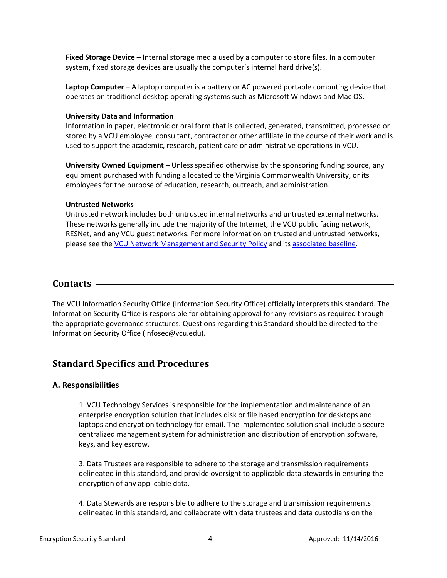**Fixed Storage Device –** Internal storage media used by a computer to store files. In a computer system, fixed storage devices are usually the computer's internal hard drive(s).

**Laptop Computer –** A laptop computer is a battery or AC powered portable computing device that operates on traditional desktop operating systems such as Microsoft Windows and Mac OS.

#### **University Data and Information**

Information in paper, electronic or oral form that is collected, generated, transmitted, processed or stored by a VCU employee, consultant, contractor or other affiliate in the course of their work and is used to support the academic, research, patient care or administrative operations in VCU.

**University Owned Equipment –** Unless specified otherwise by the sponsoring funding source, any equipment purchased with funding allocated to the Virginia Commonwealth University, or its employees for the purpose of education, research, outreach, and administration.

#### **Untrusted Networks**

Untrusted network includes both untrusted internal networks and untrusted external networks. These networks generally include the majority of the Internet, the VCU public facing network, RESNet, and any VCU guest networks. For more information on trusted and untrusted networks, please see th[e VCU Network Management and Security Policy](http://policy.vcu.edu/sites/default/files/Network%20Management%20and%20Security.pdf) and it[s associated baseline.](https://www.ucc.vcu.edu/intranet/security/default.aspx)

## **Contacts**

The VCU Information Security Office (Information Security Office) officially interprets this standard. The Information Security Office is responsible for obtaining approval for any revisions as required through the appropriate governance structures. Questions regarding this Standard should be directed to the Information Security Office (infosec@vcu.edu).

## **Standard Specifics and Procedures**

#### **A. Responsibilities**

1. VCU Technology Services is responsible for the implementation and maintenance of an enterprise encryption solution that includes disk or file based encryption for desktops and laptops and encryption technology for email. The implemented solution shall include a secure centralized management system for administration and distribution of encryption software, keys, and key escrow.

3. Data Trustees are responsible to adhere to the storage and transmission requirements delineated in this standard, and provide oversight to applicable data stewards in ensuring the encryption of any applicable data.

4. Data Stewards are responsible to adhere to the storage and transmission requirements delineated in this standard, and collaborate with data trustees and data custodians on the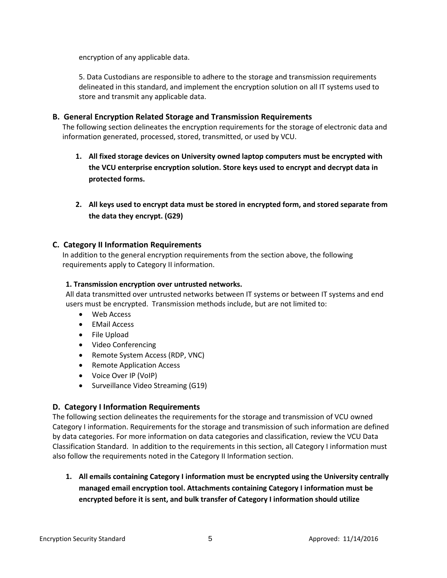encryption of any applicable data.

5. Data Custodians are responsible to adhere to the storage and transmission requirements delineated in this standard, and implement the encryption solution on all IT systems used to store and transmit any applicable data.

#### **B. General Encryption Related Storage and Transmission Requirements**

The following section delineates the encryption requirements for the storage of electronic data and information generated, processed, stored, transmitted, or used by VCU.

- **1. All fixed storage devices on University owned laptop computers must be encrypted with the VCU enterprise encryption solution. Store keys used to encrypt and decrypt data in protected forms.**
- **2. All keys used to encrypt data must be stored in encrypted form, and stored separate from the data they encrypt. (G29)**

#### **C. Category II Information Requirements**

In addition to the general encryption requirements from the section above, the following requirements apply to Category II information.

#### **1. Transmission encryption over untrusted networks.**

All data transmitted over untrusted networks between IT systems or between IT systems and end users must be encrypted. Transmission methods include, but are not limited to:

- Web Access
- EMail Access
- File Upload
- Video Conferencing
- Remote System Access (RDP, VNC)
- Remote Application Access
- Voice Over IP (VoIP)
- Surveillance Video Streaming (G19)

#### **D. Category I Information Requirements**

The following section delineates the requirements for the storage and transmission of VCU owned Category I information. Requirements for the storage and transmission of such information are defined by data categories. For more information on data categories and classification, review the VCU Data Classification Standard. In addition to the requirements in this section, all Category I information must also follow the requirements noted in the Category II Information section.

**1. All emails containing Category I information must be encrypted using the University centrally managed email encryption tool. Attachments containing Category I information must be encrypted before it is sent, and bulk transfer of Category I information should utilize**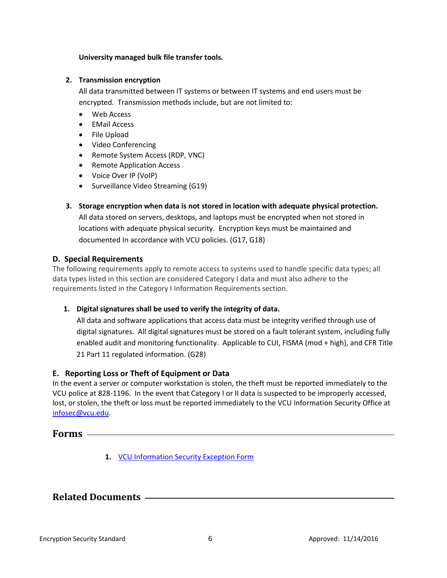#### **University managed bulk file transfer tools.**

#### **2. Transmission encryption**

All data transmitted between IT systems or between IT systems and end users must be encrypted. Transmission methods include, but are not limited to:

- Web Access
- EMail Access
- File Upload
- Video Conferencing
- Remote System Access (RDP, VNC)
- Remote Application Access
- Voice Over IP (VoIP)
- Surveillance Video Streaming (G19)
- **3. Storage encryption when data is not stored in location with adequate physical protection.** All data stored on servers, desktops, and laptops must be encrypted when not stored in locations with adequate physical security. Encryption keys must be maintained and documented In accordance with VCU policies. (G17, G18)

#### **D. Special Requirements**

The following requirements apply to remote access to systems used to handle specific data types; all data types listed in this section are considered Category I data and must also adhere to the requirements listed in the Category I Information Requirements section.

#### **1. Digital signatures shall be used to verify the integrity of data.**

All data and software applications that access data must be integrity verified through use of digital signatures. All digital signatures must be stored on a fault tolerant system, including fully enabled audit and monitoring functionality. Applicable to CUI, FISMA (mod + high), and CFR Title 21 Part 11 regulated information. (G28)

#### **E. Reporting Loss or Theft of Equipment or Data**

In the event a server or computer workstation is stolen, the theft must be reported immediately to the VCU police at 828-1196. In the event that Category I or II data is suspected to be improperly accessed, lost, or stolen, the theft or loss must be reported immediately to the VCU Information Security Office at [infosec@vcu.edu.](mailto:infosec@vcu.edu)

#### **Forms**

**1.** [VCU Information Security Exception Form](http://go.vcu.edu/itpros)

## **Related Documents**